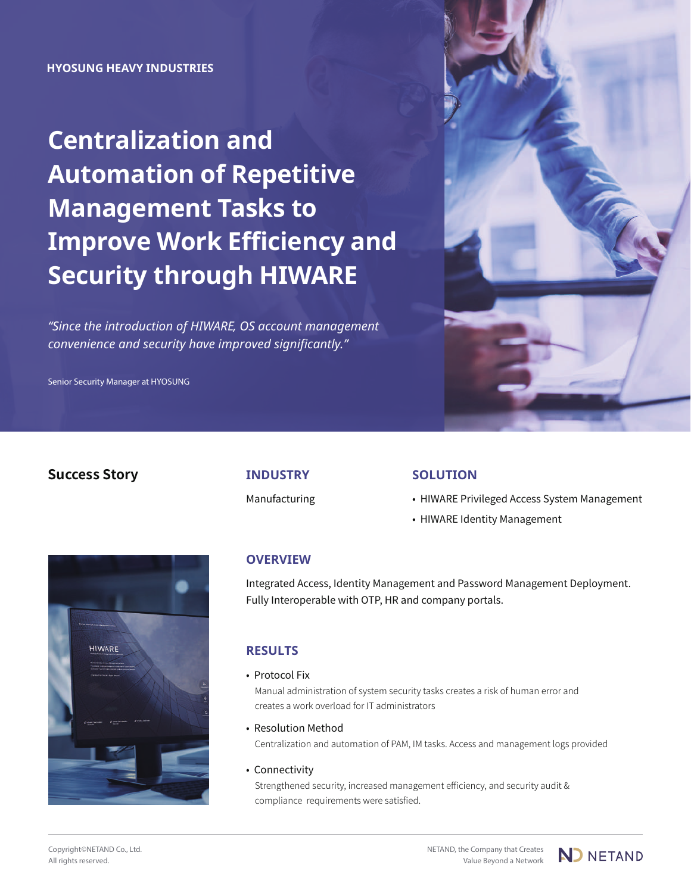# **Centralization and Automation of Repetitive Management Tasks to Improve Work Efficiency and Security through HIWARE**

*"Since the introduction of HIWARE, OS account management convenience and security have improved significantly."*

Senior Security Manager at HYOSUNG



### **Success Story INDUSTRY**

Manufacturing

#### **SOLUTION**

- HIWARE Privileged Access System Management
- HIWARE Identity Management



#### **OVERVIEW**

Integrated Access, Identity Management and Password Management Deployment. Fully Interoperable with OTP, HR and company portals.

### **RESULTS**

• Protocol Fix

Manual administration of system security tasks creates a risk of human error and creates a work overload for IT administrators

- Resolution Method Centralization and automation of PAM, IM tasks. Access and management logs provided
- Connectivity Strengthened security, increased management efficiency, and security audit & compliance requirements were satisfied.